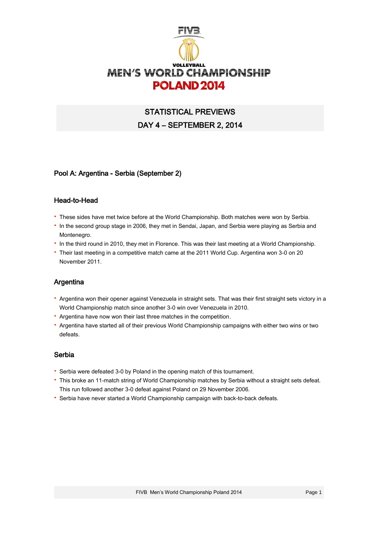

# STATISTICAL PREVIEWS DAY 4 – SEPTEMBER 2, 2014

## Pool A: Argentina - Serbia (September 2)

#### Head-to-Head

- · These sides have met twice before at the World Championship. Both matches were won by Serbia.
- · In the second group stage in 2006, they met in Sendai, Japan, and Serbia were playing as Serbia and Montenegro.
- · In the third round in 2010, they met in Florence. This was their last meeting at a World Championship.
- · Their last meeting in a competitive match came at the 2011 World Cup. Argentina won 3-0 on 20 November 2011.

#### Argentina

- · Argentina won their opener against Venezuela in straight sets. That was their first straight sets victory in a World Championship match since another 3-0 win over Venezuela in 2010.
- · Argentina have now won their last three matches in the competition.
- · Argentina have started all of their previous World Championship campaigns with either two wins or two defeats.

#### Serbia

- · Serbia were defeated 3-0 by Poland in the opening match of this tournament.
- · This broke an 11-match string of World Championship matches by Serbia without a straight sets defeat. This run followed another 3-0 defeat against Poland on 29 November 2006.
- · Serbia have never started a World Championship campaign with back-to-back defeats.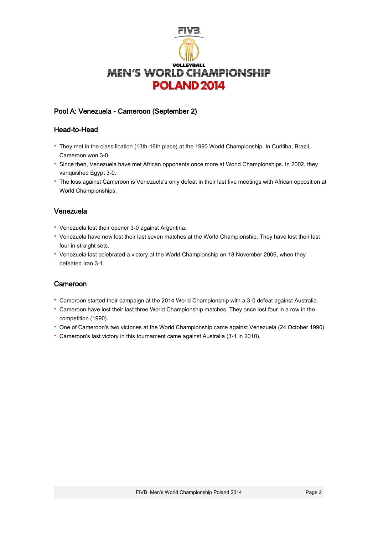

# Pool A: Venezuela - Cameroon (September 2)

## Head-to-Head

- · They met in the classification (13th-16th place) at the 1990 World Championship. In Curitiba, Brazil, Cameroon won 3-0.
- · Since then, Venezuela have met African opponents once more at World Championships. In 2002, they vanquished Egypt 3-0.
- · The loss against Cameroon is Venezuela's only defeat in their last five meetings with African opposition at World Championships.

## Venezuela

- · Venezuela lost their opener 3-0 against Argentina.
- · Venezuela have now lost their last seven matches at the World Championship. They have lost their last four in straight sets.
- · Venezuela last celebrated a victory at the World Championship on 18 November 2006, when they defeated Iran 3-1.

## Cameroon

- · Cameroon started their campaign at the 2014 World Championship with a 3-0 defeat against Australia.
- · Cameroon have lost their last three World Championship matches. They once lost four in a row in the competition (1990).
- · One of Cameroon's two victories at the World Championship came against Venezuela (24 October 1990).
- · Cameroon's last victory in this tournament came against Australia (3-1 in 2010).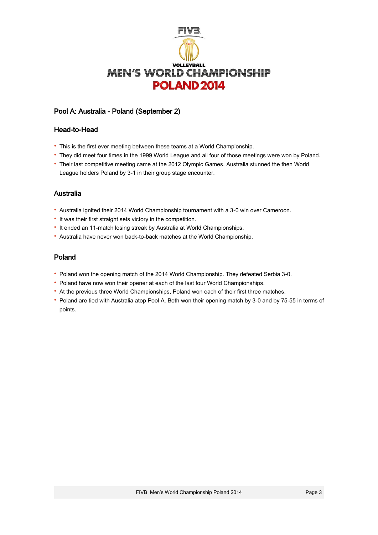

## Pool A: Australia - Poland (September 2)

#### Head-to-Head

- · This is the first ever meeting between these teams at a World Championship.
- · They did meet four times in the 1999 World League and all four of those meetings were won by Poland.
- · Their last competitive meeting came at the 2012 Olympic Games. Australia stunned the then World League holders Poland by 3-1 in their group stage encounter.

## Australia

- · Australia ignited their 2014 World Championship tournament with a 3-0 win over Cameroon.
- · It was their first straight sets victory in the competition.
- · It ended an 11-match losing streak by Australia at World Championships.
- · Australia have never won back-to-back matches at the World Championship.

## Poland

- · Poland won the opening match of the 2014 World Championship. They defeated Serbia 3-0.
- · Poland have now won their opener at each of the last four World Championships.
- · At the previous three World Championships, Poland won each of their first three matches.
- · Poland are tied with Australia atop Pool A. Both won their opening match by 3-0 and by 75-55 in terms of points.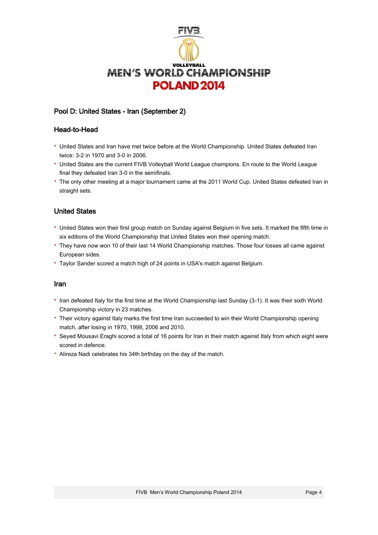

## Pool D: United States - Iran (September 2)

## Head-to-Head

- · United States and Iran have met twice before at the World Championship. United States defeated Iran twice: 3-2 in 1970 and 3-0 in 2006.
- · United States are the current FIVB Volleyball World League champions. En route to the World League final they defeated Iran 3-0 in the semifinals.
- · The only other meeting at a major tournament came at the 2011 World Cup. United States defeated Iran in straight sets.

## United States

- · United States won their first group match on Sunday against Belgium in five sets. It marked the fifth time in six editions of the World Championship that United States won their opening match.
- · They have now won 10 of their last 14 World Championship matches. Those four losses all came against European sides.
- · Taylor Sander scored a match high of 24 points in USA's match against Belgium.

#### Iran

- · Iran defeated Italy for the first time at the World Championship last Sunday (3-1). It was their sixth World Championship victory in 23 matches.
- · Their victory against Italy marks the first time Iran succeeded to win their World Championship opening match, after losing in 1970, 1998, 2006 and 2010.
- · Seyed Mousavi Eraghi scored a total of 16 points for Iran in their match against Italy from which eight were scored in defence.
- · Alireza Nadi celebrates his 34th birthday on the day of the match.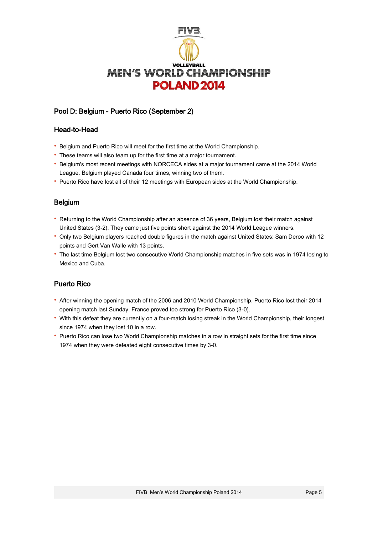

# Pool D: Belgium - Puerto Rico (September 2)

## Head-to-Head

- · Belgium and Puerto Rico will meet for the first time at the World Championship.
- · These teams will also team up for the first time at a major tournament.
- · Belgium's most recent meetings with NORCECA sides at a major tournament came at the 2014 World League. Belgium played Canada four times, winning two of them.
- · Puerto Rico have lost all of their 12 meetings with European sides at the World Championship.

## Belgium

- · Returning to the World Championship after an absence of 36 years, Belgium lost their match against United States (3-2). They came just five points short against the 2014 World League winners.
- · Only two Belgium players reached double figures in the match against United States: Sam Deroo with 12 points and Gert Van Walle with 13 points.
- · The last time Belgium lost two consecutive World Championship matches in five sets was in 1974 losing to Mexico and Cuba.

# Puerto Rico

- · After winning the opening match of the 2006 and 2010 World Championship, Puerto Rico lost their 2014 opening match last Sunday. France proved too strong for Puerto Rico (3-0).
- · With this defeat they are currently on a four-match losing streak in the World Championship, their longest since 1974 when they lost 10 in a row.
- · Puerto Rico can lose two World Championship matches in a row in straight sets for the first time since 1974 when they were defeated eight consecutive times by 3-0.